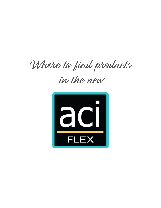Where to find products in the new

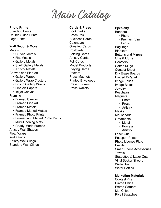Main Catalog

## **Photo Prints**

Standard Prints Double Sided Prints Logo Prints

# **Wall Décor & More**

Metals

- Curved Metals
- Flat Metals
- Gallery Metals
- Shelf Gallery Metals
- Artistry Metals
- Canvas and Fine Art
	- Gallery Wraps
	- Gallery Wrap Clusters
	- Econo Gallery Wraps
	- Fine Art Papers
	- Inkjet Canvas

### Framing

- Framed Canvas
- Framed Fine Art
- Framed Metals
- Framed Matted Metals
- Framed Photo Prints
- Framed and Matted Photo Prints
- Multi-Opening Mats
- Ready-Made Frames Artistry Wall Shapes

Float Wraps Wall Clings Artistry Wall Clings Standard Wall Clings

### **Cards & Press**

Bookmarks **Brochures** Business Cards **Calendars** Greeting Cards **Postcards** Folding Cards Artistry Cards Foil Cards Model Products Playing Cards **Posters** Press Magnets Printed Envelopes Press Stickers Press Wallets

#### **Specialty**

**Banners** • Photo • Premium Vinyl • Fabric Bag Tags **Blankets** Buttons and Mirrors CDs & USBs **Coasters** Coffee Mugs Contact Sheet Dry Erase Boards Hinged 2-Panel Image Folios Image Boxes **Jewelry** Keychains **Magnets** • Photo • Press • Artistry Masks **Mousepads Ornaments** • Metal • Porcelain • Artistry Laser Cut Passport Photo Photo License Plate Puzzle Smart Phone Accessories Towels Statuettes & Laser Cuts Vinyl Sticker Sheets Wallet Tin

#### **Marketing Materials**

Contest Kits Frame Chips Frame Corners Mat Chips Riveli Swatches

Water Bottles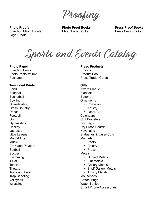Proofing

**Photo Proofs** Standard Photo Proofs Logo Proofs

**Photo Proof Books** Photo Proof Books

**Press Proof Books** Press Proof Books

Sports and Events Catalog

**Photo Paper** Standard Prints Photo Prints w/ Text Packages

**Templated Prints** Band Baseball **Basketball** Bowling **Cheerleading** Cross Country Dance Football Golf **Gymnastics Hockey** Lacrosse Little League Martial Arts **Music** PreK and Daycare **Softball Soccer** Swimming T-Ball **Tennis Theatre** Track and Field Trap Shooting Volleyball **Wrestling** 

**Press Products Posters** Product Book Press Trader Cards

**Gifts**

Award Plaque **Blankets Buttons Ornaments** • Porcelain • Artistry • Laser-Cut **Calendars** Cuff Bracelets Dog Tags Dry Erase Boards **Kevchains** Statuettes & Laser-Cuts **Magnets** • Photo • Artistry • Press **Metals** • Curved Metals • Flat Metals

• Gallery Metals

- Shelf Gallery Metals
- Artistry Metals

Mousepads Coffee Mugs Water Bottles Smart Phone Accessories